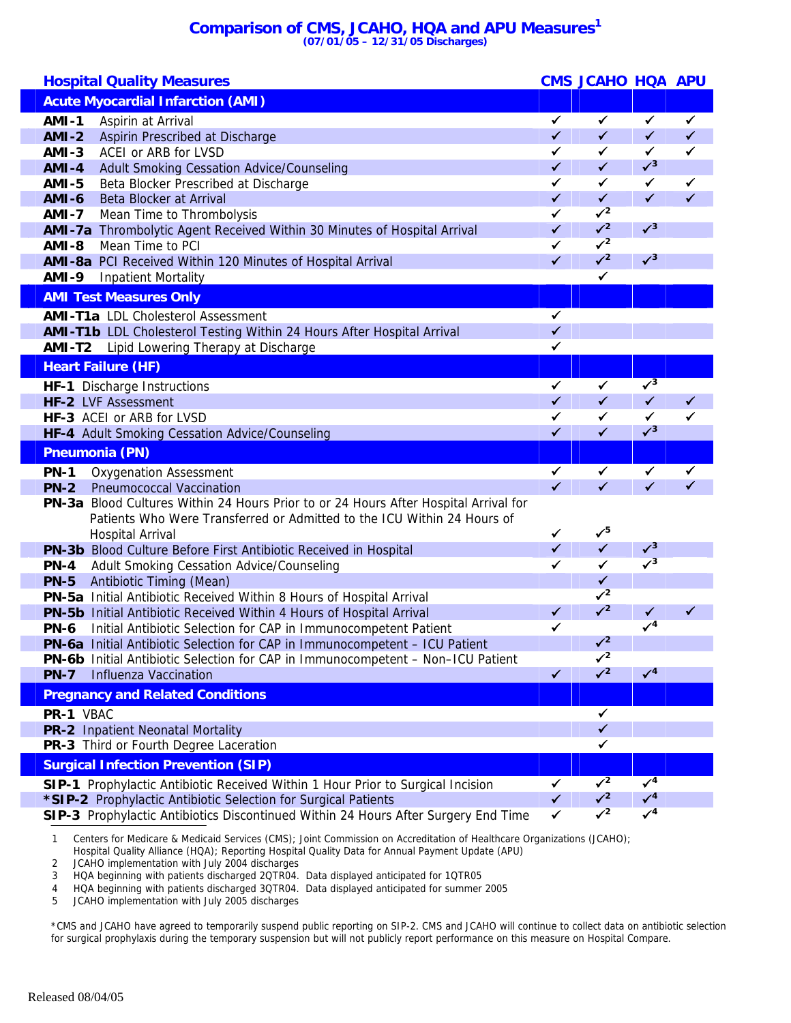## **Comparison of CMS, JCAHO, HQA and APU Measures1 (07/01/05 – 12/31/05 Discharges)**

| <b>Hospital Quality Measures</b>                                                                                                                  |              | <b>CMS JCAHO HQA APU</b>  |                           |              |
|---------------------------------------------------------------------------------------------------------------------------------------------------|--------------|---------------------------|---------------------------|--------------|
| <b>Acute Myocardial Infarction (AMI)</b>                                                                                                          |              |                           |                           |              |
| <b>AMI-1</b><br>Aspirin at Arrival                                                                                                                | $\checkmark$ | $\checkmark$              | $\checkmark$              | $\checkmark$ |
| <b>AMI-2</b><br>Aspirin Prescribed at Discharge                                                                                                   | $\checkmark$ | $\checkmark$              | $\checkmark$              | $\checkmark$ |
| ACEI or ARB for LVSD<br>$AMI-3$                                                                                                                   | $\checkmark$ | ✓                         | $\checkmark$              | $\checkmark$ |
| <b>AMI-4</b><br>Adult Smoking Cessation Advice/Counseling                                                                                         | $\checkmark$ | $\checkmark$              | $\sqrt{3}$                |              |
| <b>AMI-5</b><br>Beta Blocker Prescribed at Discharge                                                                                              | $\checkmark$ | $\checkmark$              | $\checkmark$              | $\checkmark$ |
| Beta Blocker at Arrival<br><b>AMI-6</b>                                                                                                           | $\checkmark$ | $\checkmark$              | $\checkmark$              | $\checkmark$ |
| <b>AMI-7</b><br>Mean Time to Thrombolysis                                                                                                         | ✓            | $\sqrt{2}$                |                           |              |
| AMI-7a Thrombolytic Agent Received Within 30 Minutes of Hospital Arrival                                                                          | $\checkmark$ | $\sqrt{2}$                | $\sqrt{3}$                |              |
| Mean Time to PCI<br><b>AMI-8</b>                                                                                                                  | $\checkmark$ | $\sqrt{2}$                |                           |              |
| AMI-8a PCI Received Within 120 Minutes of Hospital Arrival                                                                                        | $\checkmark$ | $\sqrt{2}$                | $\sqrt{3}$                |              |
| <b>AMI-9</b><br><b>Inpatient Mortality</b>                                                                                                        |              | $\checkmark$              |                           |              |
| <b>AMI Test Measures Only</b>                                                                                                                     |              |                           |                           |              |
| <b>AMI-T1a</b> LDL Cholesterol Assessment                                                                                                         | $\checkmark$ |                           |                           |              |
| AMI-T1b LDL Cholesterol Testing Within 24 Hours After Hospital Arrival                                                                            | $\checkmark$ |                           |                           |              |
| <b>AMI-T2</b> Lipid Lowering Therapy at Discharge                                                                                                 | $\checkmark$ |                           |                           |              |
| <b>Heart Failure (HF)</b>                                                                                                                         |              |                           |                           |              |
| HF-1 Discharge Instructions                                                                                                                       | $\checkmark$ | ✓                         | $\sqrt{3}$                |              |
| HF-2 LVF Assessment                                                                                                                               | $\checkmark$ | $\checkmark$              | $\checkmark$              | $\checkmark$ |
| HF-3 ACEI or ARB for LVSD                                                                                                                         | $\checkmark$ | $\checkmark$              | ✓                         | ✓            |
| HF-4 Adult Smoking Cessation Advice/Counseling                                                                                                    | $\checkmark$ | $\checkmark$              | $\sqrt{3}$                |              |
| <b>Pneumonia (PN)</b>                                                                                                                             |              |                           |                           |              |
| <b>PN-1</b><br><b>Oxygenation Assessment</b>                                                                                                      | $\checkmark$ | ✔                         | ✔                         |              |
| <b>PN-2</b><br><b>Pneumococcal Vaccination</b>                                                                                                    | $\checkmark$ | $\checkmark$              | ✔                         |              |
| PN-3a Blood Cultures Within 24 Hours Prior to or 24 Hours After Hospital Arrival for                                                              |              |                           |                           |              |
| Patients Who Were Transferred or Admitted to the ICU Within 24 Hours of                                                                           |              |                           |                           |              |
| <b>Hospital Arrival</b>                                                                                                                           | $\checkmark$ | $\checkmark^5$            |                           |              |
| PN-3b Blood Culture Before First Antibiotic Received in Hospital                                                                                  | $\checkmark$ | $\checkmark$              | $\sqrt{3}$                |              |
| <b>PN-4</b><br>Adult Smoking Cessation Advice/Counseling                                                                                          | ✓            | $\checkmark$              | $\sqrt{3}$                |              |
| <b>PN-5</b><br>Antibiotic Timing (Mean)                                                                                                           |              | $\checkmark$              |                           |              |
| PN-5a Initial Antibiotic Received Within 8 Hours of Hospital Arrival                                                                              |              | $\checkmark$ <sup>2</sup> |                           |              |
| PN-5b Initial Antibiotic Received Within 4 Hours of Hospital Arrival                                                                              | $\checkmark$ | $\sqrt{2}$                | $\checkmark$              |              |
| <b>PN-6</b><br>Initial Antibiotic Selection for CAP in Immunocompetent Patient                                                                    | $\checkmark$ |                           | $\checkmark$ <sup>4</sup> |              |
| PN-6a Initial Antibiotic Selection for CAP in Immunocompetent - ICU Patient                                                                       |              | $\mathcal{N}^2$           |                           |              |
| PN-6b Initial Antibiotic Selection for CAP in Immunocompetent - Non-ICU Patient                                                                   |              | $\mathcal{V}^2$           |                           |              |
| <b>Influenza Vaccination</b><br><b>PN-7</b>                                                                                                       | $\checkmark$ | $\sqrt{2}$                | $\checkmark$ <sup>4</sup> |              |
| <b>Pregnancy and Related Conditions</b>                                                                                                           |              |                           |                           |              |
| PR-1 VBAC                                                                                                                                         |              | $\checkmark$              |                           |              |
| PR-2 Inpatient Neonatal Mortality                                                                                                                 |              | $\checkmark$              |                           |              |
| PR-3 Third or Fourth Degree Laceration                                                                                                            |              | ✓                         |                           |              |
| <b>Surgical Infection Prevention (SIP)</b>                                                                                                        |              |                           |                           |              |
|                                                                                                                                                   |              |                           |                           |              |
|                                                                                                                                                   | ✓            | $\sqrt{2}$                | $\sqrt{4}$                |              |
| SIP-1 Prophylactic Antibiotic Received Within 1 Hour Prior to Surgical Incision<br>*SIP-2 Prophylactic Antibiotic Selection for Surgical Patients | $\checkmark$ | $\sqrt{2}$                | $\checkmark$ <sup>4</sup> |              |

1 Centers for Medicare & Medicaid Services (CMS); Joint Commission on Accreditation of Healthcare Organizations (JCAHO);

Hospital Quality Alliance (HQA); Reporting Hospital Quality Data for Annual Payment Update (APU)

2 JCAHO implementation with July 2004 discharges

3 HQA beginning with patients discharged 2QTR04. Data displayed anticipated for 1QTR05

4 HQA beginning with patients discharged 3QTR04. Data displayed anticipated for summer 2005

5 JCAHO implementation with July 2005 discharges

\*CMS and JCAHO have agreed to temporarily suspend public reporting on SIP-2. CMS and JCAHO will continue to collect data on antibiotic selection for surgical prophylaxis during the temporary suspension but will not publicly report performance on this measure on Hospital Compare.